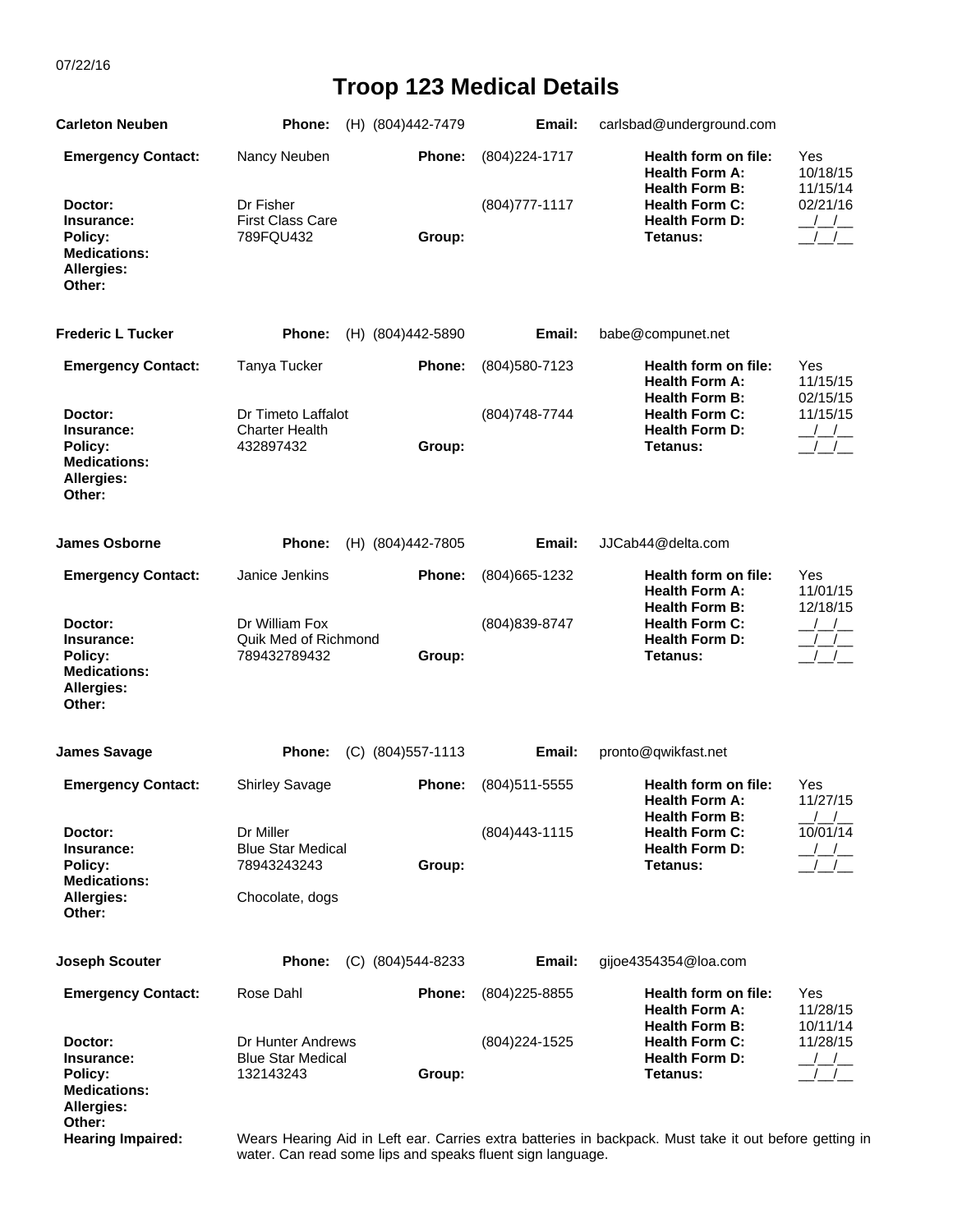07/22/16

## **Troop 123 Medical Details**

| <b>Carleton Neuben</b>                                                          | Phone:                                                     | (H) (804)442-7479  | Email:            | carlsbad@underground.com                                                                            |                                       |
|---------------------------------------------------------------------------------|------------------------------------------------------------|--------------------|-------------------|-----------------------------------------------------------------------------------------------------|---------------------------------------|
| <b>Emergency Contact:</b>                                                       | Nancy Neuben                                               | Phone:             | (804) 224-1717    | Health form on file:<br><b>Health Form A:</b>                                                       | Yes<br>10/18/15                       |
| Doctor:<br>Insurance:<br>Policy:<br><b>Medications:</b><br>Allergies:<br>Other: | Dr Fisher<br><b>First Class Care</b><br>789FQU432          | Group:             | $(804)777 - 1117$ | <b>Health Form B:</b><br><b>Health Form C:</b><br><b>Health Form D:</b><br>Tetanus:                 | 11/15/14<br>02/21/16<br>$\frac{1}{1}$ |
| <b>Frederic L Tucker</b>                                                        | Phone:                                                     | (H) (804)442-5890  | Email:            | babe@compunet.net                                                                                   |                                       |
| <b>Emergency Contact:</b>                                                       | Tanya Tucker                                               | Phone:             | (804) 580-7123    | Health form on file:<br><b>Health Form A:</b>                                                       | Yes<br>11/15/15                       |
| Doctor:<br>Insurance:<br>Policy:<br><b>Medications:</b><br>Allergies:<br>Other: | Dr Timeto Laffalot<br><b>Charter Health</b><br>432897432   | Group:             | (804) 748-7744    | <b>Health Form B:</b><br><b>Health Form C:</b><br><b>Health Form D:</b><br>Tetanus:                 | 02/15/15<br>11/15/15                  |
| <b>James Osborne</b>                                                            | <b>Phone:</b>                                              | (H) (804)442-7805  | Email:            | JJCab44@delta.com                                                                                   |                                       |
| <b>Emergency Contact:</b>                                                       | Janice Jenkins                                             | Phone:             | (804) 665 - 1232  | <b>Health form on file:</b><br><b>Health Form A:</b><br><b>Health Form B:</b>                       | Yes<br>11/01/15<br>12/18/15           |
| Doctor:<br>Insurance:<br>Policy:<br><b>Medications:</b><br>Allergies:<br>Other: | Dr William Fox<br>Quik Med of Richmond<br>789432789432     | Group:             | (804) 839-8747    | <b>Health Form C:</b><br><b>Health Form D:</b><br>Tetanus:                                          | $\frac{1}{2}$                         |
| <b>James Savage</b>                                                             | Phone:                                                     | (C) (804) 557-1113 | Email:            | pronto@qwikfast.net                                                                                 |                                       |
| <b>Emergency Contact:</b>                                                       | <b>Shirley Savage</b>                                      | Phone:             | (804) 511-5555    | Health form on file:<br><b>Health Form A:</b>                                                       | Yes<br>11/27/15                       |
| Doctor:<br>Insurance:<br>Policy:<br><b>Medications:</b>                         | Dr Miller<br><b>Blue Star Medical</b><br>78943243243       | Group:             | $(804)443 - 1115$ | <b>Health Form B:</b><br><b>Health Form C:</b><br><b>Health Form D:</b><br>Tetanus:                 | 10/01/14                              |
| Allergies:<br>Other:                                                            | Chocolate, dogs                                            |                    |                   |                                                                                                     |                                       |
| <b>Joseph Scouter</b>                                                           | Phone:                                                     | (C) (804) 544-8233 | Email:            | gijoe4354354@loa.com                                                                                |                                       |
| <b>Emergency Contact:</b>                                                       | Rose Dahl                                                  | Phone:             | $(804)$ 225-8855  | Health form on file:<br><b>Health Form A:</b><br><b>Health Form B:</b>                              | Yes<br>11/28/15<br>10/11/14           |
| Doctor:<br>Insurance:<br>Policy:<br><b>Medications:</b><br><b>Allergies:</b>    | Dr Hunter Andrews<br><b>Blue Star Medical</b><br>132143243 | Group:             | (804) 224-1525    | <b>Health Form C:</b><br><b>Health Form D:</b><br>Tetanus:                                          | 11/28/15                              |
| Other:<br>Hearing Impaired:                                                     |                                                            |                    |                   | Weare Hearing Aid in Left ear. Carries extra batteries in backpack. Must take it out before getting |                                       |

 **Hearing Impaired:** Wears Hearing Aid in Left ear. Carries extra batteries in backpack. Must take it out before getting in water. Can read some lips and speaks fluent sign language.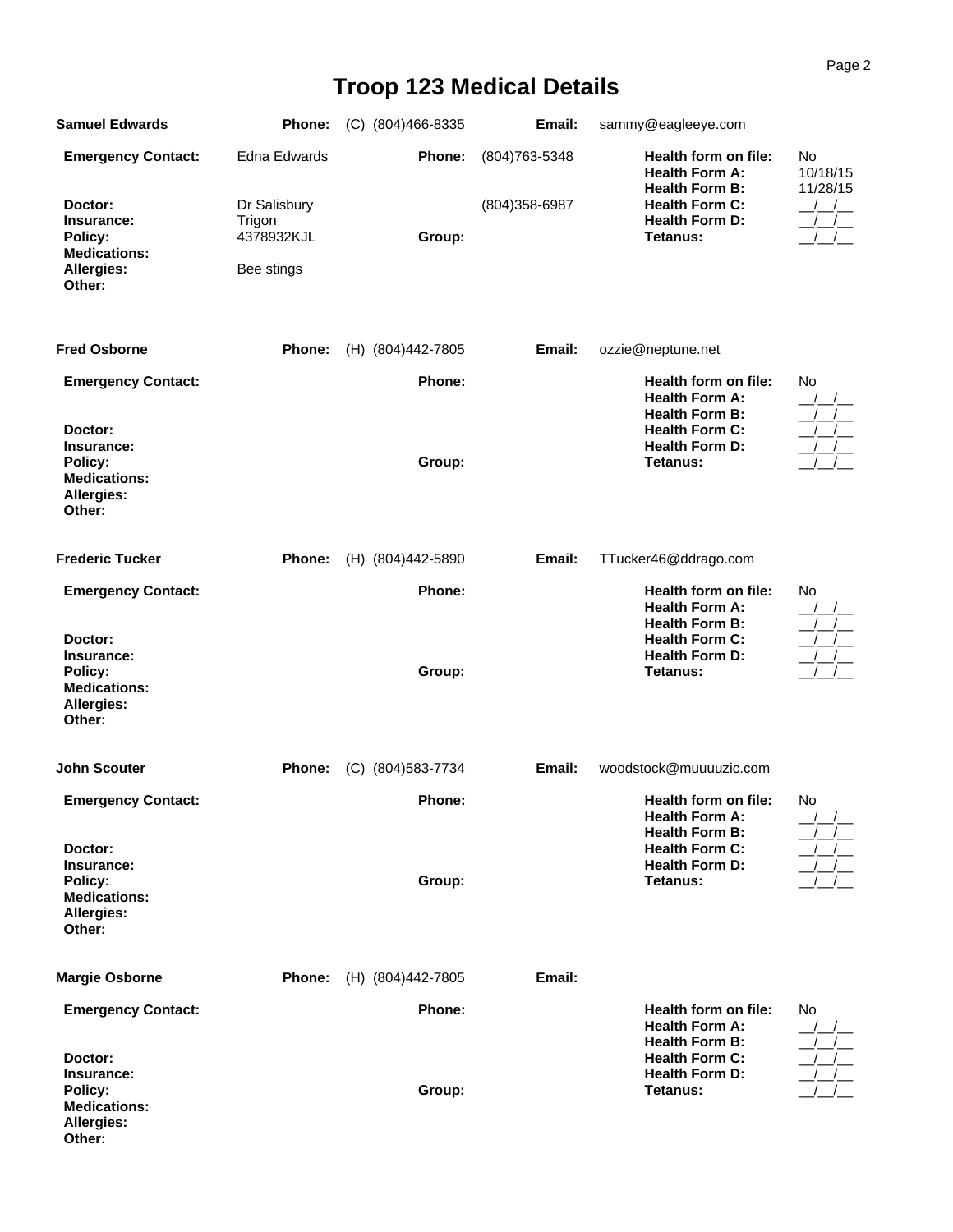## Page 2

## **Troop 123 Medical Details**

| <b>Samuel Edwards</b>                                                           | Phone:                                             | (C) (804)466-8335  | Email:         | sammy@eagleeye.com                                                                              |                |
|---------------------------------------------------------------------------------|----------------------------------------------------|--------------------|----------------|-------------------------------------------------------------------------------------------------|----------------|
| <b>Emergency Contact:</b>                                                       | Edna Edwards                                       | Phone:             | (804) 763-5348 | Health form on file:<br><b>Health Form A:</b>                                                   | No<br>10/18/15 |
| Doctor:<br>Insurance:<br>Policy:<br><b>Medications:</b><br>Allergies:<br>Other: | Dr Salisbury<br>Trigon<br>4378932KJL<br>Bee stings | Group:             | (804) 358-6987 | <b>Health Form B:</b><br><b>Health Form C:</b><br><b>Health Form D:</b><br>Tetanus:             | 11/28/15       |
| <b>Fred Osborne</b>                                                             | Phone:                                             | (H) (804)442-7805  | Email:         | ozzie@neptune.net                                                                               |                |
| <b>Emergency Contact:</b><br>Doctor:                                            |                                                    | Phone:             |                | Health form on file:<br><b>Health Form A:</b><br><b>Health Form B:</b><br><b>Health Form C:</b> | No             |
| Insurance:<br>Policy:<br><b>Medications:</b><br>Allergies:<br>Other:            |                                                    | Group:             |                | <b>Health Form D:</b><br>Tetanus:                                                               |                |
| <b>Frederic Tucker</b>                                                          | Phone:                                             | (H) (804)442-5890  | Email:         | TTucker46@ddrago.com                                                                            |                |
| <b>Emergency Contact:</b>                                                       |                                                    | Phone:             |                | Health form on file:<br><b>Health Form A:</b><br><b>Health Form B:</b>                          | No             |
| Doctor:<br>Insurance:<br>Policy:<br><b>Medications:</b><br>Allergies:<br>Other: |                                                    | Group:             |                | <b>Health Form C:</b><br><b>Health Form D:</b><br>Tetanus:                                      |                |
| <b>John Scouter</b>                                                             | Phone:                                             | (C) (804) 583-7734 | Email:         | woodstock@muuuuzic.com                                                                          |                |
| <b>Emergency Contact:</b>                                                       |                                                    | Phone:             |                | Health form on file:<br><b>Health Form A:</b><br><b>Health Form B:</b>                          | No             |
| Doctor:<br>Insurance:<br>Policy:<br><b>Medications:</b><br>Allergies:<br>Other: |                                                    | Group:             |                | <b>Health Form C:</b><br><b>Health Form D:</b><br>Tetanus:                                      |                |
| <b>Margie Osborne</b>                                                           | Phone:                                             | (H) (804)442-7805  | Email:         |                                                                                                 |                |
| <b>Emergency Contact:</b>                                                       |                                                    | <b>Phone:</b>      |                | Health form on file:<br><b>Health Form A:</b><br><b>Health Form B:</b>                          | No             |
| Doctor:<br>Insurance:<br>Policy:<br><b>Medications:</b><br>Allergies:<br>Other: |                                                    | Group:             |                | <b>Health Form C:</b><br><b>Health Form D:</b><br>Tetanus:                                      |                |